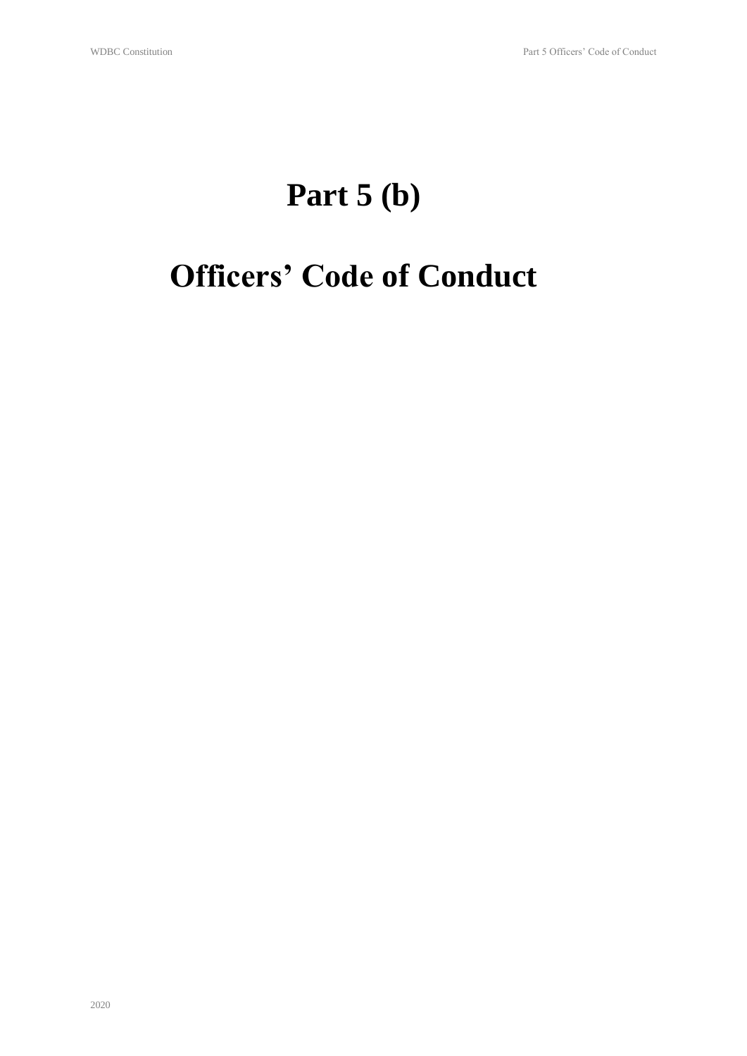# **Part 5 (b)**

# **Officers' Code of Conduct**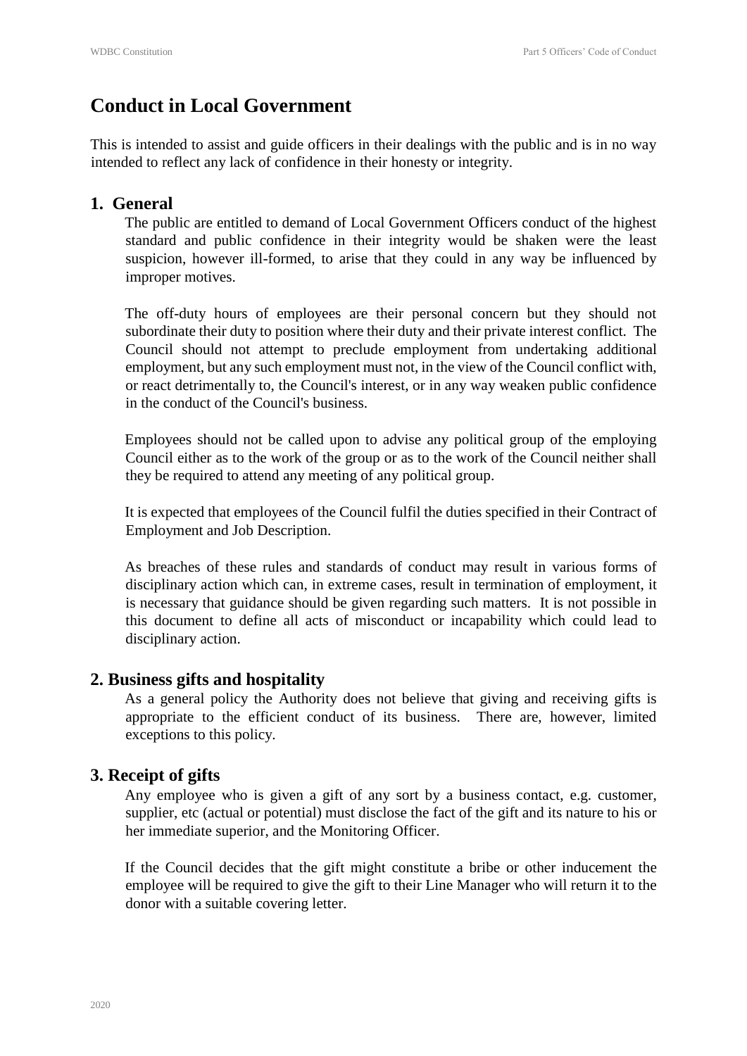# **Conduct in Local Government**

This is intended to assist and guide officers in their dealings with the public and is in no way intended to reflect any lack of confidence in their honesty or integrity.

## **1. General**

The public are entitled to demand of Local Government Officers conduct of the highest standard and public confidence in their integrity would be shaken were the least suspicion, however ill-formed, to arise that they could in any way be influenced by improper motives.

The off-duty hours of employees are their personal concern but they should not subordinate their duty to position where their duty and their private interest conflict. The Council should not attempt to preclude employment from undertaking additional employment, but any such employment must not, in the view of the Council conflict with, or react detrimentally to, the Council's interest, or in any way weaken public confidence in the conduct of the Council's business.

Employees should not be called upon to advise any political group of the employing Council either as to the work of the group or as to the work of the Council neither shall they be required to attend any meeting of any political group.

It is expected that employees of the Council fulfil the duties specified in their Contract of Employment and Job Description.

As breaches of these rules and standards of conduct may result in various forms of disciplinary action which can, in extreme cases, result in termination of employment, it is necessary that guidance should be given regarding such matters. It is not possible in this document to define all acts of misconduct or incapability which could lead to disciplinary action.

## **2. Business gifts and hospitality**

As a general policy the Authority does not believe that giving and receiving gifts is appropriate to the efficient conduct of its business. There are, however, limited exceptions to this policy.

# **3. Receipt of gifts**

Any employee who is given a gift of any sort by a business contact, e.g. customer, supplier, etc (actual or potential) must disclose the fact of the gift and its nature to his or her immediate superior, and the Monitoring Officer.

If the Council decides that the gift might constitute a bribe or other inducement the employee will be required to give the gift to their Line Manager who will return it to the donor with a suitable covering letter.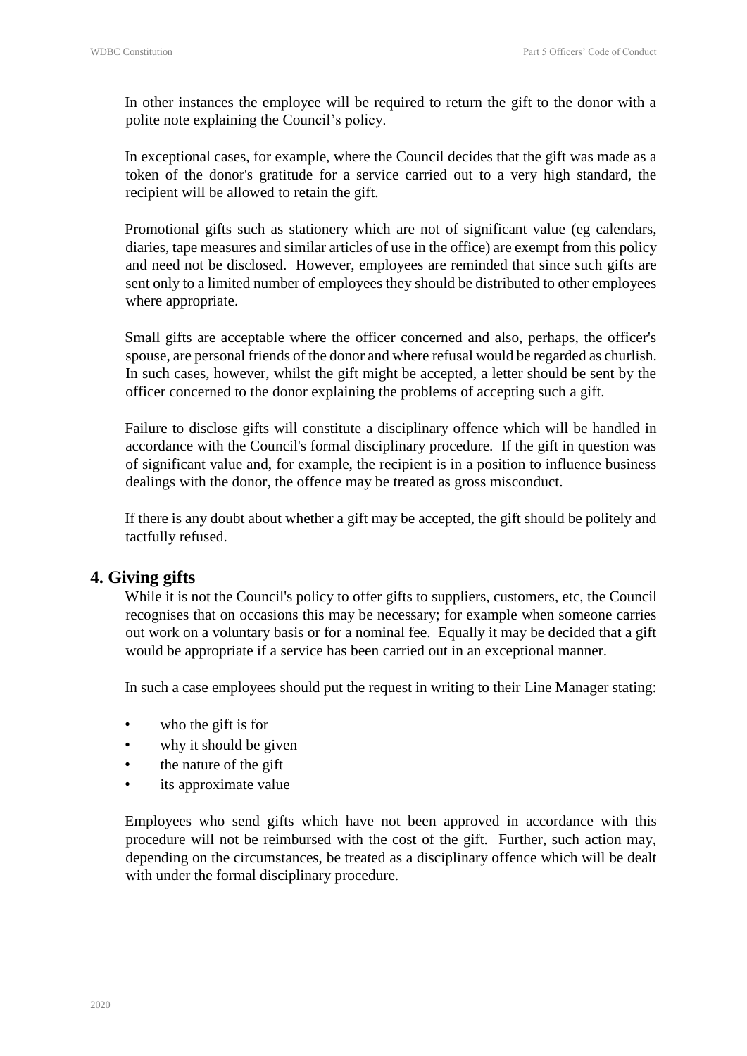In other instances the employee will be required to return the gift to the donor with a polite note explaining the Council's policy.

In exceptional cases, for example, where the Council decides that the gift was made as a token of the donor's gratitude for a service carried out to a very high standard, the recipient will be allowed to retain the gift.

Promotional gifts such as stationery which are not of significant value (eg calendars, diaries, tape measures and similar articles of use in the office) are exempt from this policy and need not be disclosed. However, employees are reminded that since such gifts are sent only to a limited number of employees they should be distributed to other employees where appropriate.

Small gifts are acceptable where the officer concerned and also, perhaps, the officer's spouse, are personal friends of the donor and where refusal would be regarded as churlish. In such cases, however, whilst the gift might be accepted, a letter should be sent by the officer concerned to the donor explaining the problems of accepting such a gift.

Failure to disclose gifts will constitute a disciplinary offence which will be handled in accordance with the Council's formal disciplinary procedure. If the gift in question was of significant value and, for example, the recipient is in a position to influence business dealings with the donor, the offence may be treated as gross misconduct.

If there is any doubt about whether a gift may be accepted, the gift should be politely and tactfully refused.

## **4. Giving gifts**

While it is not the Council's policy to offer gifts to suppliers, customers, etc, the Council recognises that on occasions this may be necessary; for example when someone carries out work on a voluntary basis or for a nominal fee. Equally it may be decided that a gift would be appropriate if a service has been carried out in an exceptional manner.

In such a case employees should put the request in writing to their Line Manager stating:

- who the gift is for
- why it should be given
- the nature of the gift
- its approximate value

Employees who send gifts which have not been approved in accordance with this procedure will not be reimbursed with the cost of the gift. Further, such action may, depending on the circumstances, be treated as a disciplinary offence which will be dealt with under the formal disciplinary procedure.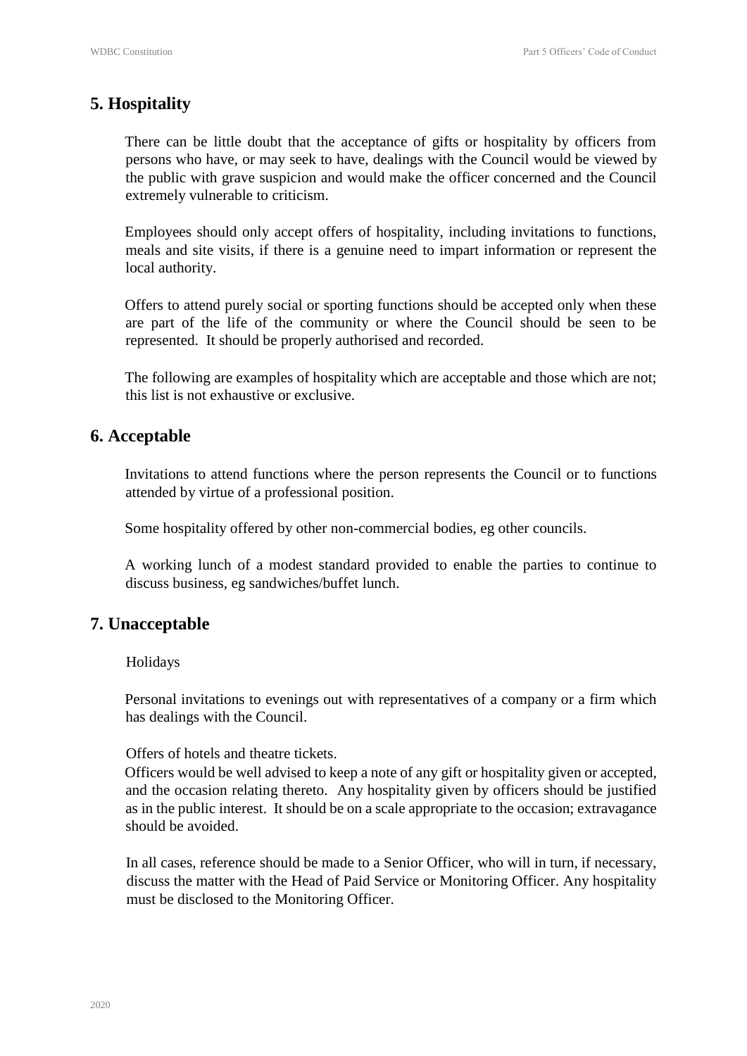# **5. Hospitality**

There can be little doubt that the acceptance of gifts or hospitality by officers from persons who have, or may seek to have, dealings with the Council would be viewed by the public with grave suspicion and would make the officer concerned and the Council extremely vulnerable to criticism.

Employees should only accept offers of hospitality, including invitations to functions, meals and site visits, if there is a genuine need to impart information or represent the local authority.

Offers to attend purely social or sporting functions should be accepted only when these are part of the life of the community or where the Council should be seen to be represented. It should be properly authorised and recorded.

The following are examples of hospitality which are acceptable and those which are not; this list is not exhaustive or exclusive.

#### **6. Acceptable**

Invitations to attend functions where the person represents the Council or to functions attended by virtue of a professional position.

Some hospitality offered by other non-commercial bodies, eg other councils.

A working lunch of a modest standard provided to enable the parties to continue to discuss business, eg sandwiches/buffet lunch.

## **7. Unacceptable**

#### Holidays

Personal invitations to evenings out with representatives of a company or a firm which has dealings with the Council.

Offers of hotels and theatre tickets.

Officers would be well advised to keep a note of any gift or hospitality given or accepted, and the occasion relating thereto. Any hospitality given by officers should be justified as in the public interest. It should be on a scale appropriate to the occasion; extravagance should be avoided.

In all cases, reference should be made to a Senior Officer, who will in turn, if necessary, discuss the matter with the Head of Paid Service or Monitoring Officer. Any hospitality must be disclosed to the Monitoring Officer.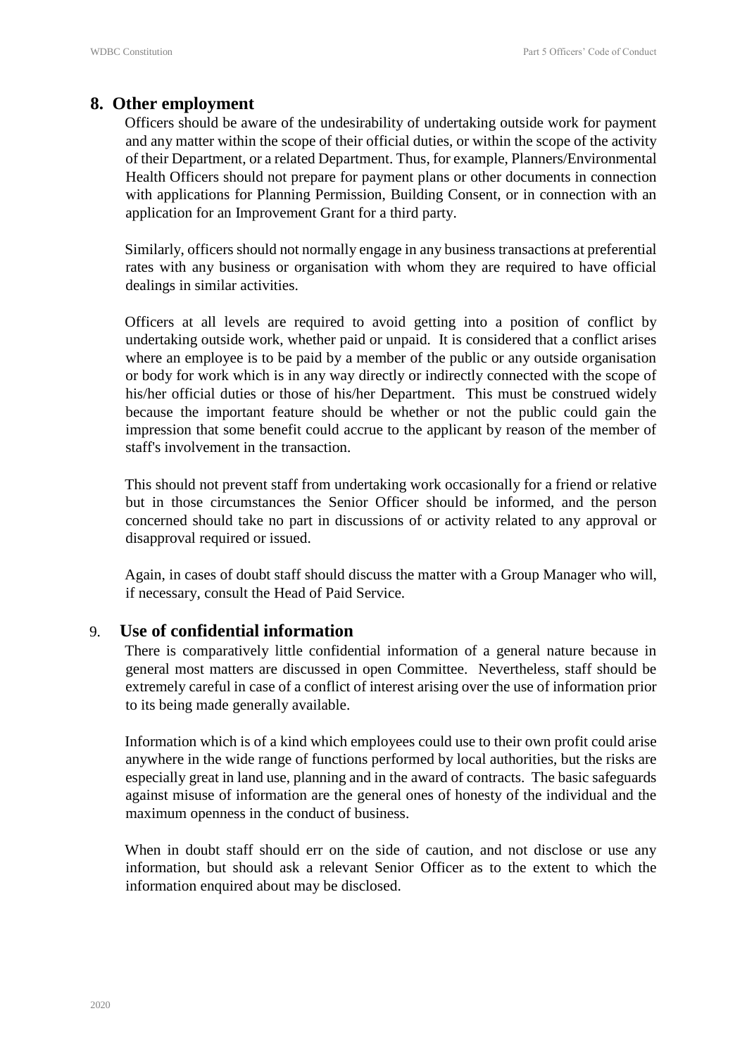#### **8. Other employment**

Officers should be aware of the undesirability of undertaking outside work for payment and any matter within the scope of their official duties, or within the scope of the activity of their Department, or a related Department. Thus, for example, Planners/Environmental Health Officers should not prepare for payment plans or other documents in connection with applications for Planning Permission, Building Consent, or in connection with an application for an Improvement Grant for a third party.

Similarly, officers should not normally engage in any business transactions at preferential rates with any business or organisation with whom they are required to have official dealings in similar activities.

Officers at all levels are required to avoid getting into a position of conflict by undertaking outside work, whether paid or unpaid. It is considered that a conflict arises where an employee is to be paid by a member of the public or any outside organisation or body for work which is in any way directly or indirectly connected with the scope of his/her official duties or those of his/her Department. This must be construed widely because the important feature should be whether or not the public could gain the impression that some benefit could accrue to the applicant by reason of the member of staff's involvement in the transaction.

This should not prevent staff from undertaking work occasionally for a friend or relative but in those circumstances the Senior Officer should be informed, and the person concerned should take no part in discussions of or activity related to any approval or disapproval required or issued.

Again, in cases of doubt staff should discuss the matter with a Group Manager who will, if necessary, consult the Head of Paid Service.

#### 9. **Use of confidential information**

There is comparatively little confidential information of a general nature because in general most matters are discussed in open Committee. Nevertheless, staff should be extremely careful in case of a conflict of interest arising over the use of information prior to its being made generally available.

Information which is of a kind which employees could use to their own profit could arise anywhere in the wide range of functions performed by local authorities, but the risks are especially great in land use, planning and in the award of contracts. The basic safeguards against misuse of information are the general ones of honesty of the individual and the maximum openness in the conduct of business.

When in doubt staff should err on the side of caution, and not disclose or use any information, but should ask a relevant Senior Officer as to the extent to which the information enquired about may be disclosed.